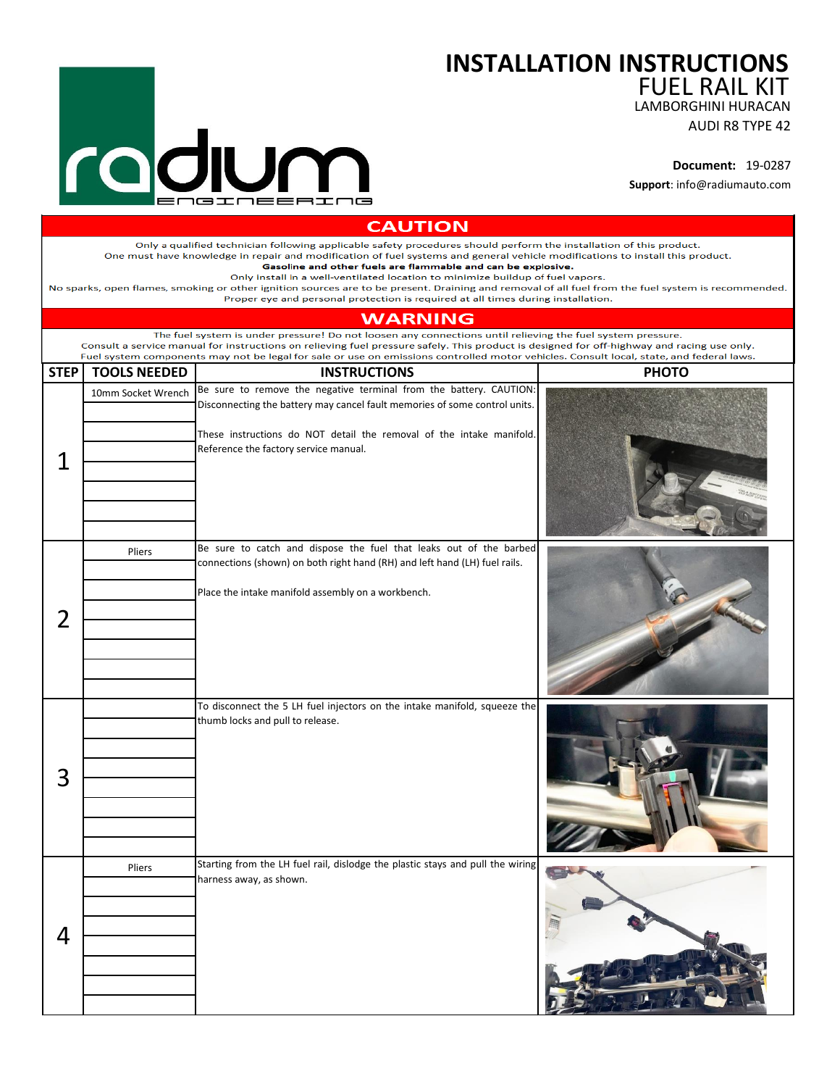## **INSTALLATION INSTRUCTIONS**

FUEL RAIL KIT

LAMBORGHINI HURACAN

AUDI R8 TYPE 42

**Document:** 19-0287

**Support**: info@radiumauto.com

| <b>CAUTION</b> |                     |                                                                                                                                                                                                                                                                                                                                                                                                                                                                                                                                                                                                                                                  |              |
|----------------|---------------------|--------------------------------------------------------------------------------------------------------------------------------------------------------------------------------------------------------------------------------------------------------------------------------------------------------------------------------------------------------------------------------------------------------------------------------------------------------------------------------------------------------------------------------------------------------------------------------------------------------------------------------------------------|--------------|
|                |                     | Only a qualified technician following applicable safety procedures should perform the installation of this product.<br>One must have knowledge in repair and modification of fuel systems and general vehicle modifications to install this product.<br>Gasoline and other fuels are flammable and can be explosive.<br>Only install in a well-ventilated location to minimize buildup of fuel vapors.<br>No sparks, open flames, smoking or other ignition sources are to be present. Draining and removal of all fuel from the fuel system is recommended.<br>Proper eye and personal protection is required at all times during installation. |              |
|                |                     | <b>WARNING</b>                                                                                                                                                                                                                                                                                                                                                                                                                                                                                                                                                                                                                                   |              |
|                |                     | The fuel system is under pressure! Do not loosen any connections until relieving the fuel system pressure.<br>Consult a service manual for instructions on relieving fuel pressure safely. This product is designed for off-highway and racing use only.<br>Fuel system components may not be legal for sale or use on emissions controlled motor vehicles. Consult local, state, and federal laws.                                                                                                                                                                                                                                              |              |
| <b>STEP</b>    | <b>TOOLS NEEDED</b> | <b>INSTRUCTIONS</b>                                                                                                                                                                                                                                                                                                                                                                                                                                                                                                                                                                                                                              | <b>PHOTO</b> |
| 1              | 10mm Socket Wrench  | Be sure to remove the negative terminal from the battery. CAUTION:<br>Disconnecting the battery may cancel fault memories of some control units.<br>These instructions do NOT detail the removal of the intake manifold.<br>Reference the factory service manual.                                                                                                                                                                                                                                                                                                                                                                                |              |
|                |                     |                                                                                                                                                                                                                                                                                                                                                                                                                                                                                                                                                                                                                                                  |              |
| 2              | Pliers              | Be sure to catch and dispose the fuel that leaks out of the barbed<br>connections (shown) on both right hand (RH) and left hand (LH) fuel rails.<br>Place the intake manifold assembly on a workbench.                                                                                                                                                                                                                                                                                                                                                                                                                                           |              |
| 3              |                     | To disconnect the 5 LH fuel injectors on the intake manifold, squeeze the<br>thumb locks and pull to release.                                                                                                                                                                                                                                                                                                                                                                                                                                                                                                                                    |              |
| 4              | Pliers              | Starting from the LH fuel rail, dislodge the plastic stays and pull the wiring<br>harness away, as shown.                                                                                                                                                                                                                                                                                                                                                                                                                                                                                                                                        |              |

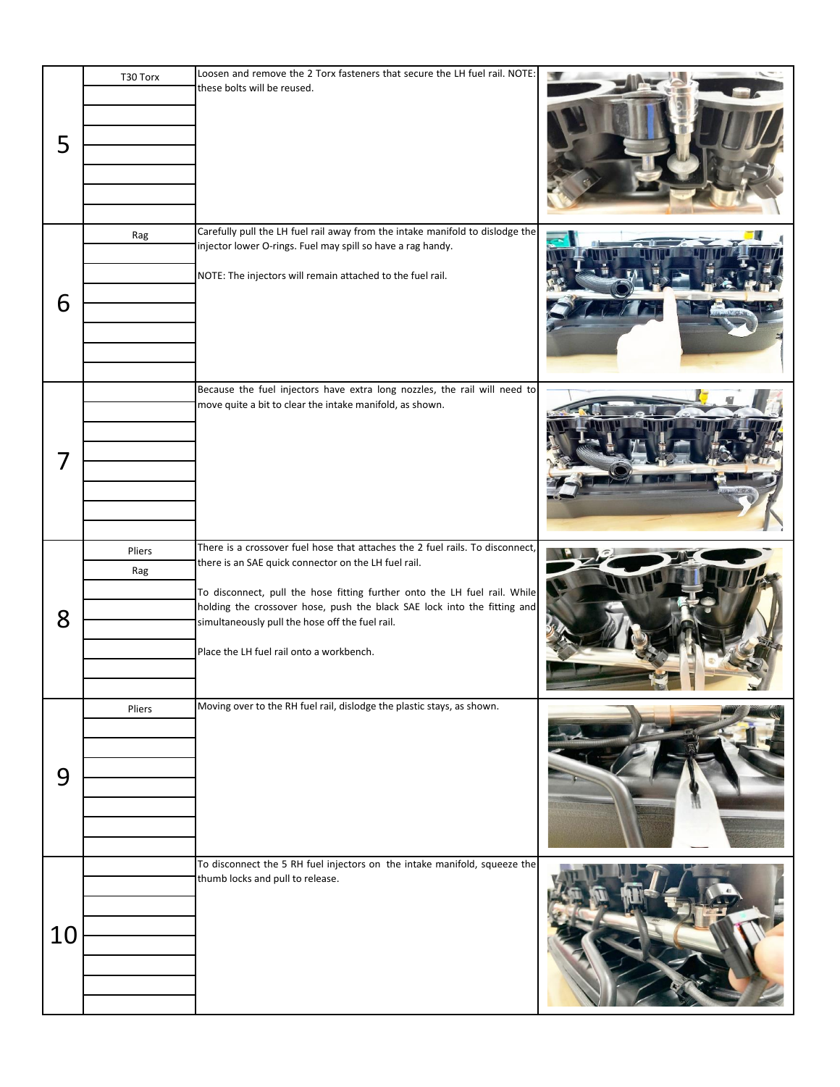| 5  | T30 Torx      | Loosen and remove the 2 Torx fasteners that secure the LH fuel rail. NOTE:<br>these bolts will be reused.                                                                                                                                                                                                                                                                                     |                 |
|----|---------------|-----------------------------------------------------------------------------------------------------------------------------------------------------------------------------------------------------------------------------------------------------------------------------------------------------------------------------------------------------------------------------------------------|-----------------|
| 6  | Rag           | Carefully pull the LH fuel rail away from the intake manifold to dislodge the<br>injector lower O-rings. Fuel may spill so have a rag handy.<br>NOTE: The injectors will remain attached to the fuel rail.                                                                                                                                                                                    |                 |
| 7  |               | Because the fuel injectors have extra long nozzles, the rail will need to<br>move quite a bit to clear the intake manifold, as shown.                                                                                                                                                                                                                                                         | <u> Teru II</u> |
| 8  | Pliers<br>Rag | There is a crossover fuel hose that attaches the 2 fuel rails. To disconnect,<br>there is an SAE quick connector on the LH fuel rail.<br>To disconnect, pull the hose fitting further onto the LH fuel rail. While<br>holding the crossover hose, push the black SAE lock into the fitting and<br>simultaneously pull the hose off the fuel rail.<br>Place the LH fuel rail onto a workbench. |                 |
| 9  | Pliers        | Moving over to the RH fuel rail, dislodge the plastic stays, as shown.                                                                                                                                                                                                                                                                                                                        |                 |
| 10 |               | To disconnect the 5 RH fuel injectors on the intake manifold, squeeze the<br>thumb locks and pull to release.                                                                                                                                                                                                                                                                                 |                 |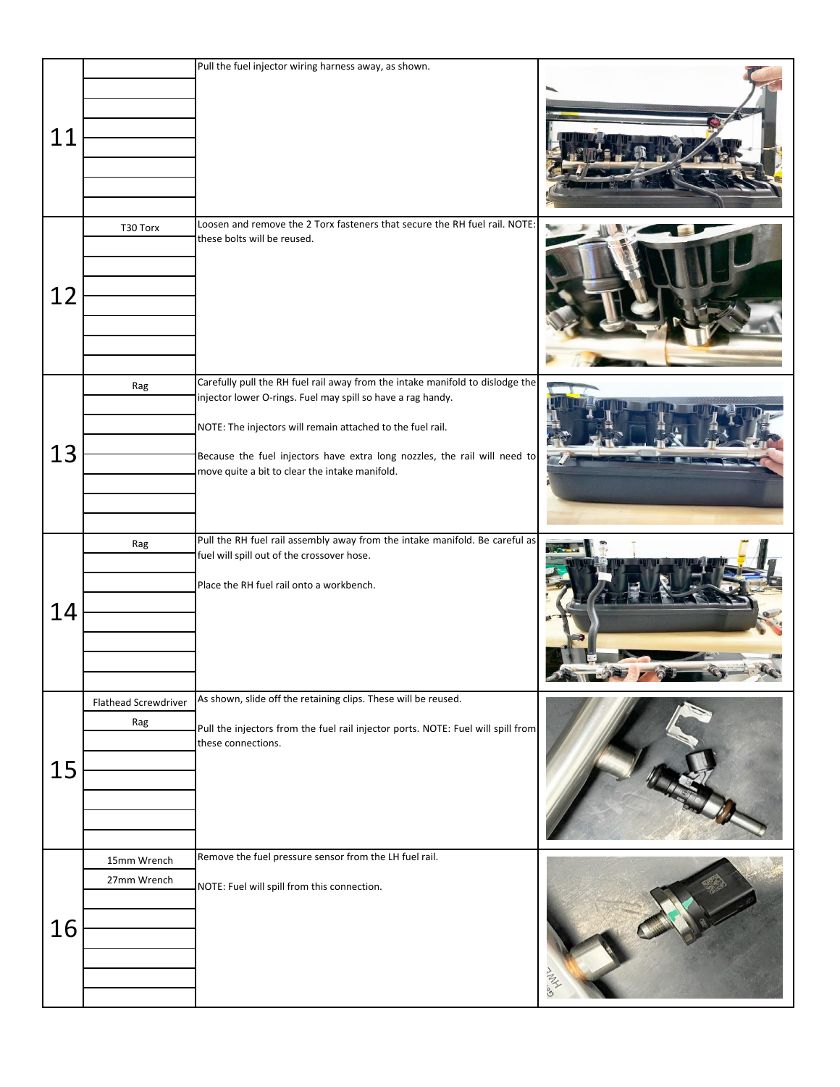|    |                             | Pull the fuel injector wiring harness away, as shown.                                                                                                                                                                                                                                                                                     |   |
|----|-----------------------------|-------------------------------------------------------------------------------------------------------------------------------------------------------------------------------------------------------------------------------------------------------------------------------------------------------------------------------------------|---|
| 11 |                             |                                                                                                                                                                                                                                                                                                                                           |   |
| 12 | T30 Torx                    | Loosen and remove the 2 Torx fasteners that secure the RH fuel rail. NOTE:<br>these bolts will be reused.                                                                                                                                                                                                                                 |   |
| 13 | Rag                         | Carefully pull the RH fuel rail away from the intake manifold to dislodge the<br>injector lower O-rings. Fuel may spill so have a rag handy.<br>NOTE: The injectors will remain attached to the fuel rail.<br>Because the fuel injectors have extra long nozzles, the rail will need to<br>move quite a bit to clear the intake manifold. |   |
| 14 | Rag                         | Pull the RH fuel rail assembly away from the intake manifold. Be careful as<br>fuel will spill out of the crossover hose.<br>Place the RH fuel rail onto a workbench.                                                                                                                                                                     |   |
| 15 | Flathead Screwdriver<br>Rag | As shown, slide off the retaining clips. These will be reused.<br>Pull the injectors from the fuel rail injector ports. NOTE: Fuel will spill from<br>these connections.                                                                                                                                                                  |   |
| 16 | 15mm Wrench<br>27mm Wrench  | Remove the fuel pressure sensor from the LH fuel rail.<br>NOTE: Fuel will spill from this connection.                                                                                                                                                                                                                                     | M |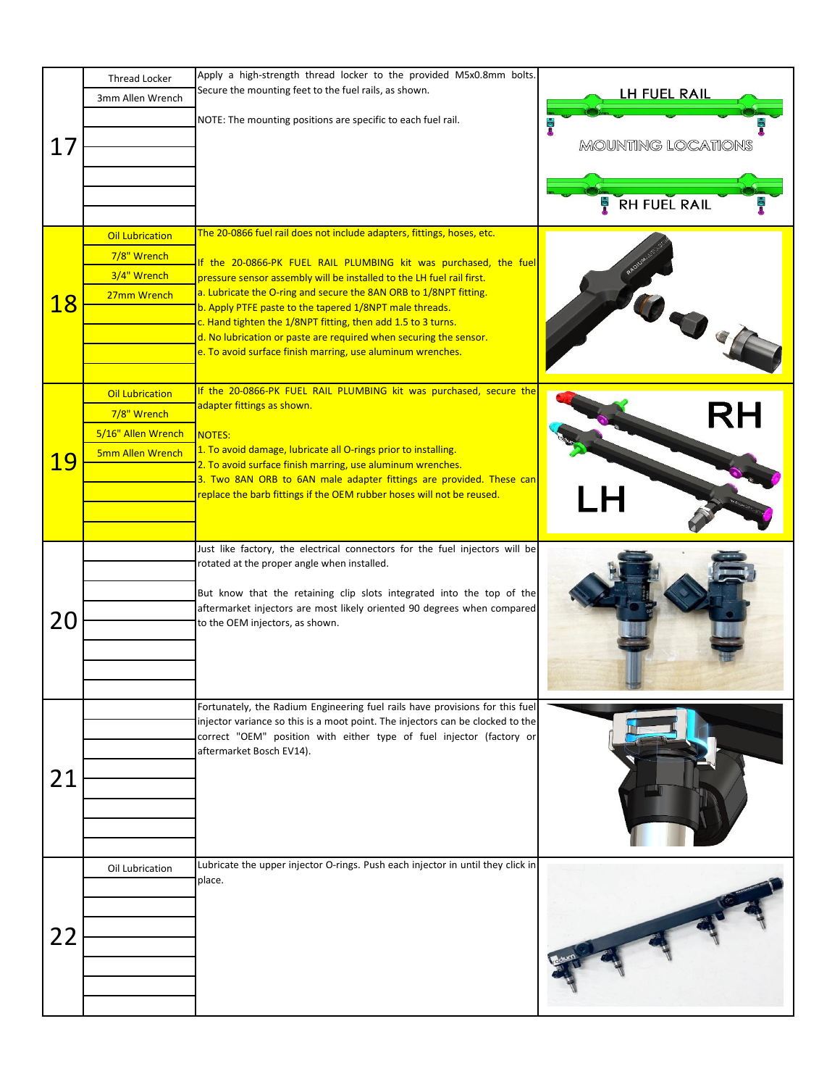| 17        | <b>Thread Locker</b><br>3mm Allen Wrench<br><b>Oil Lubrication</b>              | Apply a high-strength thread locker to the provided M5x0.8mm bolts.<br>Secure the mounting feet to the fuel rails, as shown.<br>NOTE: The mounting positions are specific to each fuel rail.<br>The 20-0866 fuel rail does not include adapters, fittings, hoses, etc.                                                                                                                                                                                                       | LH FUEL RAIL<br><b>MOUNTING LOCATIONS</b><br><b>RH FUEL RAIL</b> |
|-----------|---------------------------------------------------------------------------------|------------------------------------------------------------------------------------------------------------------------------------------------------------------------------------------------------------------------------------------------------------------------------------------------------------------------------------------------------------------------------------------------------------------------------------------------------------------------------|------------------------------------------------------------------|
| <b>18</b> | 7/8" Wrench<br>3/4" Wrench<br>27mm Wrench                                       | If the 20-0866-PK FUEL RAIL PLUMBING kit was purchased, the fuel<br>pressure sensor assembly will be installed to the LH fuel rail first.<br>a. Lubricate the O-ring and secure the 8AN ORB to 1/8NPT fitting.<br>b. Apply PTFE paste to the tapered 1/8NPT male threads.<br>c. Hand tighten the 1/8NPT fitting, then add 1.5 to 3 turns.<br>d. No lubrication or paste are required when securing the sensor.<br>e. To avoid surface finish marring, use aluminum wrenches. |                                                                  |
| <b>19</b> | <b>Oil Lubrication</b><br>7/8" Wrench<br>5/16" Allen Wrench<br>5mm Allen Wrench | If the 20-0866-PK FUEL RAIL PLUMBING kit was purchased, secure the<br>adapter fittings as shown.<br>NOTES:<br>1. To avoid damage, lubricate all O-rings prior to installing.<br>2. To avoid surface finish marring, use aluminum wrenches.<br>3. Two 8AN ORB to 6AN male adapter fittings are provided. These can<br>replace the barb fittings if the OEM rubber hoses will not be reused.                                                                                   | <b>RH</b>                                                        |
| 20        |                                                                                 | Just like factory, the electrical connectors for the fuel injectors will be<br>rotated at the proper angle when installed.<br>But know that the retaining clip slots integrated into the top of the<br>aftermarket injectors are most likely oriented 90 degrees when compared<br>to the OEM injectors, as shown.                                                                                                                                                            |                                                                  |
| 21        |                                                                                 | Fortunately, the Radium Engineering fuel rails have provisions for this fuel<br>injector variance so this is a moot point. The injectors can be clocked to the<br>correct "OEM" position with either type of fuel injector (factory or<br>aftermarket Bosch EV14).                                                                                                                                                                                                           |                                                                  |
| 22        | Oil Lubrication                                                                 | Lubricate the upper injector O-rings. Push each injector in until they click in<br>place.                                                                                                                                                                                                                                                                                                                                                                                    |                                                                  |